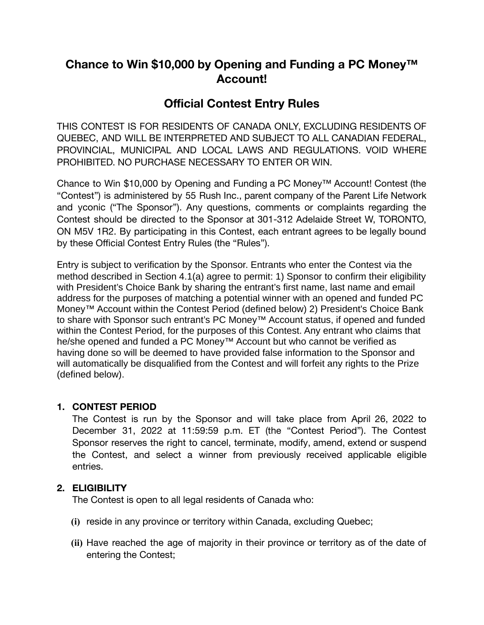# **Chance to Win \$10,000 by Opening and Funding a PC Money™ Account!**

# **Official Contest Entry Rules**

THIS CONTEST IS FOR RESIDENTS OF CANADA ONLY, EXCLUDING RESIDENTS OF QUEBEC, AND WILL BE INTERPRETED AND SUBJECT TO ALL CANADIAN FEDERAL, PROVINCIAL, MUNICIPAL AND LOCAL LAWS AND REGULATIONS. VOID WHERE PROHIBITED. NO PURCHASE NECESSARY TO ENTER OR WIN.

Chance to Win \$10,000 by Opening and Funding a PC Money™ Account! Contest (the "Contest") is administered by 55 Rush Inc., parent company of the Parent Life Network and yconic ("The Sponsor"). Any questions, comments or complaints regarding the Contest should be directed to the Sponsor at 301-312 Adelaide Street W, TORONTO, ON M5V 1R2. By participating in this Contest, each entrant agrees to be legally bound by these Official Contest Entry Rules (the "Rules").

Entry is subject to verification by the Sponsor. Entrants who enter the Contest via the method described in Section 4.1(a) agree to permit: 1) Sponsor to confirm their eligibility with President's Choice Bank by sharing the entrant's first name, last name and email address for the purposes of matching a potential winner with an opened and funded PC Money™ Account within the Contest Period (defined below) 2) President's Choice Bank to share with Sponsor such entrant's PC Money™ Account status, if opened and funded within the Contest Period, for the purposes of this Contest. Any entrant who claims that he/she opened and funded a PC Money™ Account but who cannot be verified as having done so will be deemed to have provided false information to the Sponsor and will automatically be disqualified from the Contest and will forfeit any rights to the Prize (defined below).

## **1. CONTEST PERIOD**

The Contest is run by the Sponsor and will take place from April 26, 2022 to December 31, 2022 at 11:59:59 p.m. ET (the "Contest Period"). The Contest Sponsor reserves the right to cancel, terminate, modify, amend, extend or suspend the Contest, and select a winner from previously received applicable eligible entries.

## **2. ELIGIBILITY**

The Contest is open to all legal residents of Canada who:

- **(i)** reside in any province or territory within Canada, excluding Quebec;
- **(ii)** Have reached the age of majority in their province or territory as of the date of entering the Contest;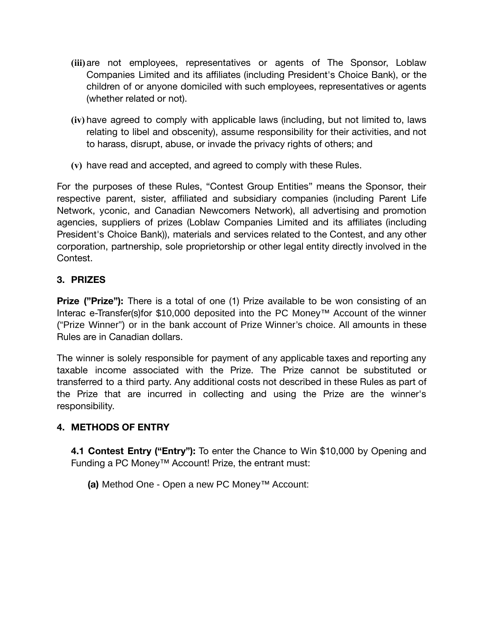- **(iii)**are not employees, representatives or agents of The Sponsor, Loblaw Companies Limited and its affiliates (including President's Choice Bank), or the children of or anyone domiciled with such employees, representatives or agents (whether related or not).
- **(iv)** have agreed to comply with applicable laws (including, but not limited to, laws relating to libel and obscenity), assume responsibility for their activities, and not to harass, disrupt, abuse, or invade the privacy rights of others; and
- **(v)** have read and accepted, and agreed to comply with these Rules.

For the purposes of these Rules, "Contest Group Entities" means the Sponsor, their respective parent, sister, affiliated and subsidiary companies (including Parent Life Network, yconic, and Canadian Newcomers Network), all advertising and promotion agencies, suppliers of prizes (Loblaw Companies Limited and its affiliates (including President's Choice Bank)), materials and services related to the Contest, and any other corporation, partnership, sole proprietorship or other legal entity directly involved in the Contest.

## **3. PRIZES**

**Prize ("Prize"):** There is a total of one (1) Prize available to be won consisting of an Interac e-Transfer(s)for \$10,000 deposited into the PC Money™ Account of the winner ("Prize Winner") or in the bank account of Prize Winner's choice. All amounts in these Rules are in Canadian dollars.

The winner is solely responsible for payment of any applicable taxes and reporting any taxable income associated with the Prize. The Prize cannot be substituted or transferred to a third party. Any additional costs not described in these Rules as part of the Prize that are incurred in collecting and using the Prize are the winner's responsibility.

## **4. METHODS OF ENTRY**

**4.1 Contest Entry ("Entry"):** To enter the Chance to Win \$10,000 by Opening and Funding a PC Money™ Account! Prize, the entrant must:

**(a)** Method One - Open a new PC Money™ Account: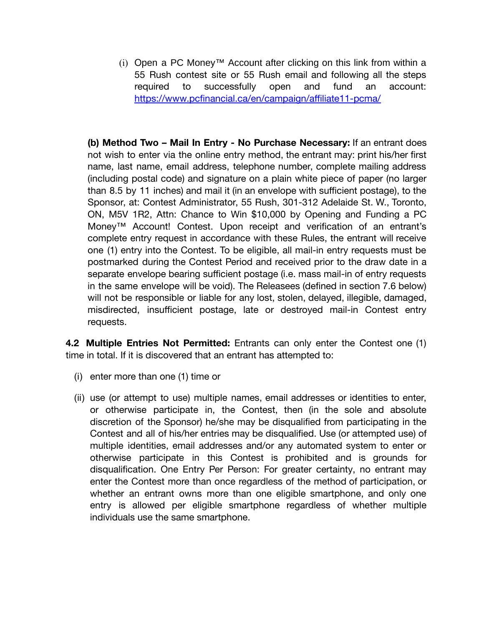$(i)$  Open a PC Money™ Account after clicking on this link from within a 55 Rush contest site or 55 Rush email and following all the steps required to successfully open and fund an account: <https://www.pcfinancial.ca/en/campaign/affiliate11-pcma/>

**(b) Method Two – Mail In Entry - No Purchase Necessary:** If an entrant does not wish to enter via the online entry method, the entrant may: print his/her first name, last name, email address, telephone number, complete mailing address (including postal code) and signature on a plain white piece of paper (no larger than 8.5 by 11 inches) and mail it (in an envelope with sufficient postage), to the Sponsor, at: Contest Administrator, 55 Rush, 301-312 Adelaide St. W., Toronto, ON, M5V 1R2, Attn: Chance to Win \$10,000 by Opening and Funding a PC Money™ Account! Contest. Upon receipt and verification of an entrant's complete entry request in accordance with these Rules, the entrant will receive one (1) entry into the Contest. To be eligible, all mail-in entry requests must be postmarked during the Contest Period and received prior to the draw date in a separate envelope bearing sufficient postage (i.e. mass mail-in of entry requests in the same envelope will be void). The Releasees (defined in section 7.6 below) will not be responsible or liable for any lost, stolen, delayed, illegible, damaged, misdirected, insufficient postage, late or destroyed mail-in Contest entry requests.

**4.2 Multiple Entries Not Permitted:** Entrants can only enter the Contest one (1) time in total. If it is discovered that an entrant has attempted to:

- (i) enter more than one (1) time or
- (ii) use (or attempt to use) multiple names, email addresses or identities to enter, or otherwise participate in, the Contest, then (in the sole and absolute discretion of the Sponsor) he/she may be disqualified from participating in the Contest and all of his/her entries may be disqualified. Use (or attempted use) of multiple identities, email addresses and/or any automated system to enter or otherwise participate in this Contest is prohibited and is grounds for disqualification. One Entry Per Person: For greater certainty, no entrant may enter the Contest more than once regardless of the method of participation, or whether an entrant owns more than one eligible smartphone, and only one entry is allowed per eligible smartphone regardless of whether multiple individuals use the same smartphone.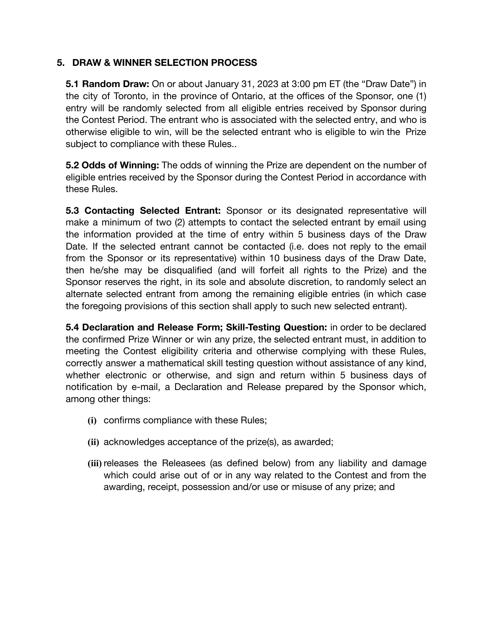## **5. DRAW & WINNER SELECTION PROCESS**

**5.1 Random Draw:** On or about January 31, 2023 at 3:00 pm ET (the "Draw Date") in the city of Toronto, in the province of Ontario, at the offices of the Sponsor, one (1) entry will be randomly selected from all eligible entries received by Sponsor during the Contest Period. The entrant who is associated with the selected entry, and who is otherwise eligible to win, will be the selected entrant who is eligible to win the Prize subject to compliance with these Rules..

**5.2 Odds of Winning:** The odds of winning the Prize are dependent on the number of eligible entries received by the Sponsor during the Contest Period in accordance with these Rules.

**5.3 Contacting Selected Entrant:** Sponsor or its designated representative will make a minimum of two (2) attempts to contact the selected entrant by email using the information provided at the time of entry within 5 business days of the Draw Date. If the selected entrant cannot be contacted (i.e. does not reply to the email from the Sponsor or its representative) within 10 business days of the Draw Date, then he/she may be disqualified (and will forfeit all rights to the Prize) and the Sponsor reserves the right, in its sole and absolute discretion, to randomly select an alternate selected entrant from among the remaining eligible entries (in which case the foregoing provisions of this section shall apply to such new selected entrant).

**5.4 Declaration and Release Form; Skill-Testing Question:** in order to be declared the confirmed Prize Winner or win any prize, the selected entrant must, in addition to meeting the Contest eligibility criteria and otherwise complying with these Rules, correctly answer a mathematical skill testing question without assistance of any kind, whether electronic or otherwise, and sign and return within 5 business days of notification by e-mail, a Declaration and Release prepared by the Sponsor which, among other things:

- **(i)** confirms compliance with these Rules;
- **(ii)** acknowledges acceptance of the prize(s), as awarded;
- **(iii)** releases the Releasees (as defined below) from any liability and damage which could arise out of or in any way related to the Contest and from the awarding, receipt, possession and/or use or misuse of any prize; and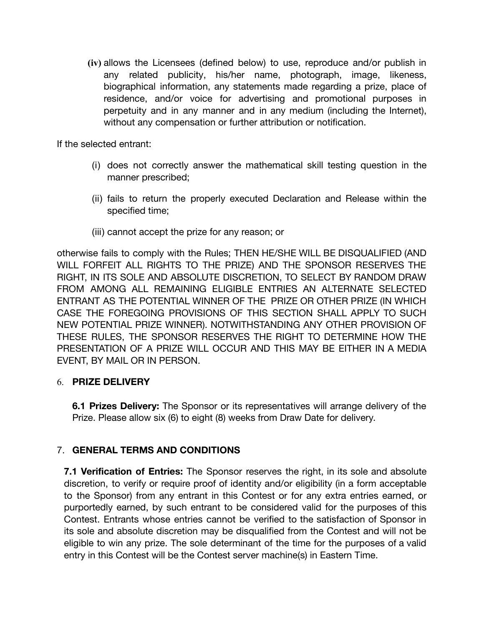**(iv)** allows the Licensees (defined below) to use, reproduce and/or publish in any related publicity, his/her name, photograph, image, likeness, biographical information, any statements made regarding a prize, place of residence, and/or voice for advertising and promotional purposes in perpetuity and in any manner and in any medium (including the Internet), without any compensation or further attribution or notification.

If the selected entrant:

- (i) does not correctly answer the mathematical skill testing question in the manner prescribed;
- (ii) fails to return the properly executed Declaration and Release within the specified time;
- (iii) cannot accept the prize for any reason; or

otherwise fails to comply with the Rules; THEN HE/SHE WILL BE DISQUALIFIED (AND WILL FORFEIT ALL RIGHTS TO THE PRIZE) AND THE SPONSOR RESERVES THE RIGHT, IN ITS SOLE AND ABSOLUTE DISCRETION, TO SELECT BY RANDOM DRAW FROM AMONG ALL REMAINING ELIGIBLE ENTRIES AN ALTERNATE SELECTED ENTRANT AS THE POTENTIAL WINNER OF THE PRIZE OR OTHER PRIZE (IN WHICH CASE THE FOREGOING PROVISIONS OF THIS SECTION SHALL APPLY TO SUCH NEW POTENTIAL PRIZE WINNER). NOTWITHSTANDING ANY OTHER PROVISION OF THESE RULES, THE SPONSOR RESERVES THE RIGHT TO DETERMINE HOW THE PRESENTATION OF A PRIZE WILL OCCUR AND THIS MAY BE EITHER IN A MEDIA EVENT, BY MAIL OR IN PERSON.

#### 6. **PRIZE DELIVERY**

**6.1 Prizes Delivery:** The Sponsor or its representatives will arrange delivery of the Prize. Please allow six (6) to eight (8) weeks from Draw Date for delivery.

#### 7. **GENERAL TERMS AND CONDITIONS**

**7.1 Verification of Entries:** The Sponsor reserves the right, in its sole and absolute discretion, to verify or require proof of identity and/or eligibility (in a form acceptable to the Sponsor) from any entrant in this Contest or for any extra entries earned, or purportedly earned, by such entrant to be considered valid for the purposes of this Contest. Entrants whose entries cannot be verified to the satisfaction of Sponsor in its sole and absolute discretion may be disqualified from the Contest and will not be eligible to win any prize. The sole determinant of the time for the purposes of a valid entry in this Contest will be the Contest server machine(s) in Eastern Time.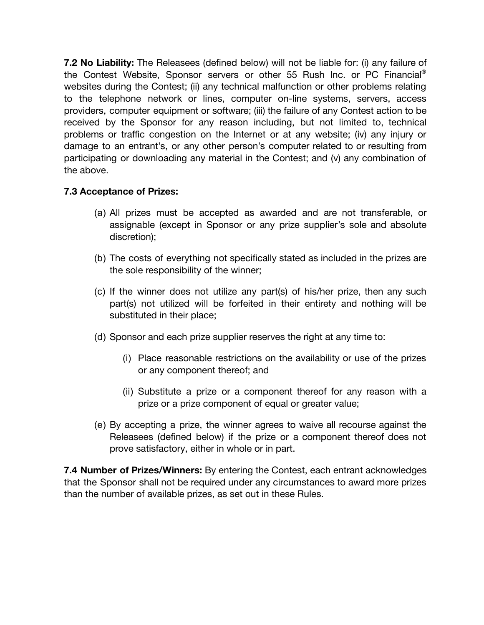**7.2 No Liability:** The Releasees (defined below) will not be liable for: (i) any failure of the Contest Website, Sponsor servers or other 55 Rush Inc. or PC Financial® websites during the Contest; (ii) any technical malfunction or other problems relating to the telephone network or lines, computer on-line systems, servers, access providers, computer equipment or software; (iii) the failure of any Contest action to be received by the Sponsor for any reason including, but not limited to, technical problems or traffic congestion on the Internet or at any website; (iv) any injury or damage to an entrant's, or any other person's computer related to or resulting from participating or downloading any material in the Contest; and (v) any combination of the above.

## **7.3 Acceptance of Prizes:**

- (a) All prizes must be accepted as awarded and are not transferable, or assignable (except in Sponsor or any prize supplier's sole and absolute discretion);
- (b) The costs of everything not specifically stated as included in the prizes are the sole responsibility of the winner;
- (c) If the winner does not utilize any part(s) of his/her prize, then any such part(s) not utilized will be forfeited in their entirety and nothing will be substituted in their place;
- (d) Sponsor and each prize supplier reserves the right at any time to:
	- (i) Place reasonable restrictions on the availability or use of the prizes or any component thereof; and
	- (ii) Substitute a prize or a component thereof for any reason with a prize or a prize component of equal or greater value;
- (e) By accepting a prize, the winner agrees to waive all recourse against the Releasees (defined below) if the prize or a component thereof does not prove satisfactory, either in whole or in part.

**7.4 Number of Prizes/Winners:** By entering the Contest, each entrant acknowledges that the Sponsor shall not be required under any circumstances to award more prizes than the number of available prizes, as set out in these Rules.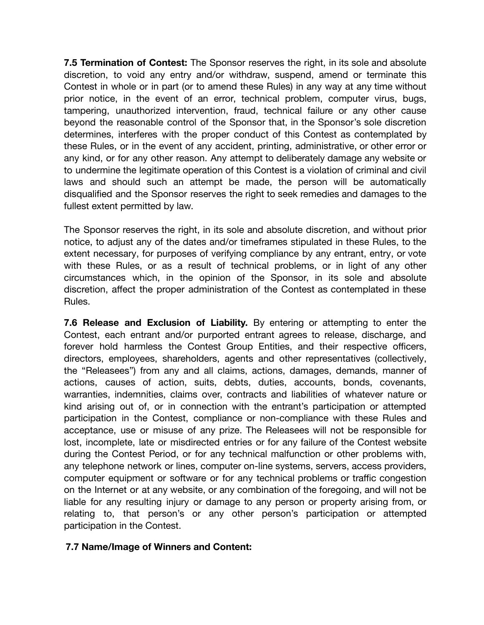**7.5 Termination of Contest:** The Sponsor reserves the right, in its sole and absolute discretion, to void any entry and/or withdraw, suspend, amend or terminate this Contest in whole or in part (or to amend these Rules) in any way at any time without prior notice, in the event of an error, technical problem, computer virus, bugs, tampering, unauthorized intervention, fraud, technical failure or any other cause beyond the reasonable control of the Sponsor that, in the Sponsor's sole discretion determines, interferes with the proper conduct of this Contest as contemplated by these Rules, or in the event of any accident, printing, administrative, or other error or any kind, or for any other reason. Any attempt to deliberately damage any website or to undermine the legitimate operation of this Contest is a violation of criminal and civil laws and should such an attempt be made, the person will be automatically disqualified and the Sponsor reserves the right to seek remedies and damages to the fullest extent permitted by law.

The Sponsor reserves the right, in its sole and absolute discretion, and without prior notice, to adjust any of the dates and/or timeframes stipulated in these Rules, to the extent necessary, for purposes of verifying compliance by any entrant, entry, or vote with these Rules, or as a result of technical problems, or in light of any other circumstances which, in the opinion of the Sponsor, in its sole and absolute discretion, affect the proper administration of the Contest as contemplated in these Rules.

**7.6 Release and Exclusion of Liability.** By entering or attempting to enter the Contest, each entrant and/or purported entrant agrees to release, discharge, and forever hold harmless the Contest Group Entities, and their respective officers, directors, employees, shareholders, agents and other representatives (collectively, the "Releasees") from any and all claims, actions, damages, demands, manner of actions, causes of action, suits, debts, duties, accounts, bonds, covenants, warranties, indemnities, claims over, contracts and liabilities of whatever nature or kind arising out of, or in connection with the entrant's participation or attempted participation in the Contest, compliance or non-compliance with these Rules and acceptance, use or misuse of any prize. The Releasees will not be responsible for lost, incomplete, late or misdirected entries or for any failure of the Contest website during the Contest Period, or for any technical malfunction or other problems with, any telephone network or lines, computer on-line systems, servers, access providers, computer equipment or software or for any technical problems or traffic congestion on the Internet or at any website, or any combination of the foregoing, and will not be liable for any resulting injury or damage to any person or property arising from, or relating to, that person's or any other person's participation or attempted participation in the Contest.

#### **7.7 Name/Image of Winners and Content:**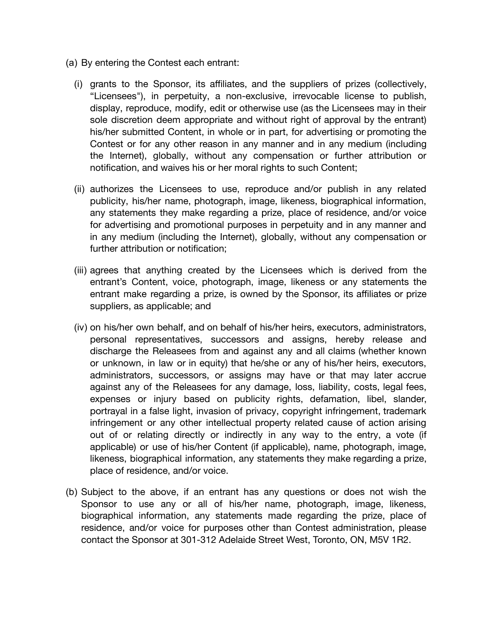- (a) By entering the Contest each entrant:
	- (i) grants to the Sponsor, its affiliates, and the suppliers of prizes (collectively, "Licensees"), in perpetuity, a non-exclusive, irrevocable license to publish, display, reproduce, modify, edit or otherwise use (as the Licensees may in their sole discretion deem appropriate and without right of approval by the entrant) his/her submitted Content, in whole or in part, for advertising or promoting the Contest or for any other reason in any manner and in any medium (including the Internet), globally, without any compensation or further attribution or notification, and waives his or her moral rights to such Content;
	- (ii) authorizes the Licensees to use, reproduce and/or publish in any related publicity, his/her name, photograph, image, likeness, biographical information, any statements they make regarding a prize, place of residence, and/or voice for advertising and promotional purposes in perpetuity and in any manner and in any medium (including the Internet), globally, without any compensation or further attribution or notification;
	- (iii) agrees that anything created by the Licensees which is derived from the entrant's Content, voice, photograph, image, likeness or any statements the entrant make regarding a prize, is owned by the Sponsor, its affiliates or prize suppliers, as applicable; and
	- (iv) on his/her own behalf, and on behalf of his/her heirs, executors, administrators, personal representatives, successors and assigns, hereby release and discharge the Releasees from and against any and all claims (whether known or unknown, in law or in equity) that he/she or any of his/her heirs, executors, administrators, successors, or assigns may have or that may later accrue against any of the Releasees for any damage, loss, liability, costs, legal fees, expenses or injury based on publicity rights, defamation, libel, slander, portrayal in a false light, invasion of privacy, copyright infringement, trademark infringement or any other intellectual property related cause of action arising out of or relating directly or indirectly in any way to the entry, a vote (if applicable) or use of his/her Content (if applicable), name, photograph, image, likeness, biographical information, any statements they make regarding a prize, place of residence, and/or voice.
- (b) Subject to the above, if an entrant has any questions or does not wish the Sponsor to use any or all of his/her name, photograph, image, likeness, biographical information, any statements made regarding the prize, place of residence, and/or voice for purposes other than Contest administration, please contact the Sponsor at 301-312 Adelaide Street West, Toronto, ON, M5V 1R2.